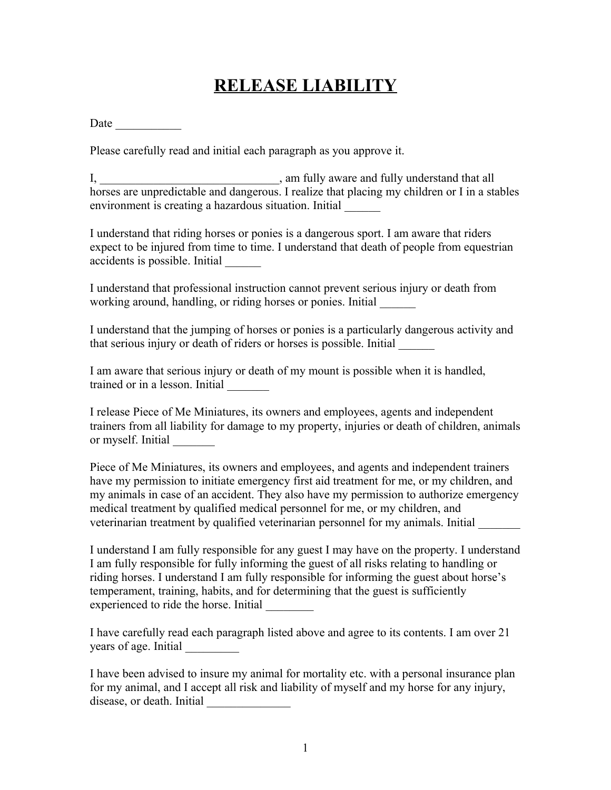## **RELEASE LIABILITY**

Date  $\frac{1}{\sqrt{1-\frac{1}{2}} \cdot \frac{1}{\sqrt{1-\frac{1}{2}}}}$ 

Please carefully read and initial each paragraph as you approve it.

I, am fully aware and fully understand that all horses are unpredictable and dangerous. I realize that placing my children or I in a stables environment is creating a hazardous situation. Initial

I understand that riding horses or ponies is a dangerous sport. I am aware that riders expect to be injured from time to time. I understand that death of people from equestrian accidents is possible. Initial \_\_\_\_\_\_

I understand that professional instruction cannot prevent serious injury or death from working around, handling, or riding horses or ponies. Initial

I understand that the jumping of horses or ponies is a particularly dangerous activity and that serious injury or death of riders or horses is possible. Initial \_\_\_\_\_\_

I am aware that serious injury or death of my mount is possible when it is handled, trained or in a lesson. Initial \_\_\_\_\_\_\_

I release Piece of Me Miniatures, its owners and employees, agents and independent trainers from all liability for damage to my property, injuries or death of children, animals or myself. Initial \_\_\_\_\_\_\_

Piece of Me Miniatures, its owners and employees, and agents and independent trainers have my permission to initiate emergency first aid treatment for me, or my children, and my animals in case of an accident. They also have my permission to authorize emergency medical treatment by qualified medical personnel for me, or my children, and veterinarian treatment by qualified veterinarian personnel for my animals. Initial \_\_\_\_\_\_\_

I understand I am fully responsible for any guest I may have on the property. I understand I am fully responsible for fully informing the guest of all risks relating to handling or riding horses. I understand I am fully responsible for informing the guest about horse's temperament, training, habits, and for determining that the guest is sufficiently experienced to ride the horse. Initial

I have carefully read each paragraph listed above and agree to its contents. I am over 21 years of age. Initial \_\_\_\_\_\_\_\_\_

I have been advised to insure my animal for mortality etc. with a personal insurance plan for my animal, and I accept all risk and liability of myself and my horse for any injury, disease, or death. Initial \_\_\_\_\_\_\_\_\_\_\_\_\_\_